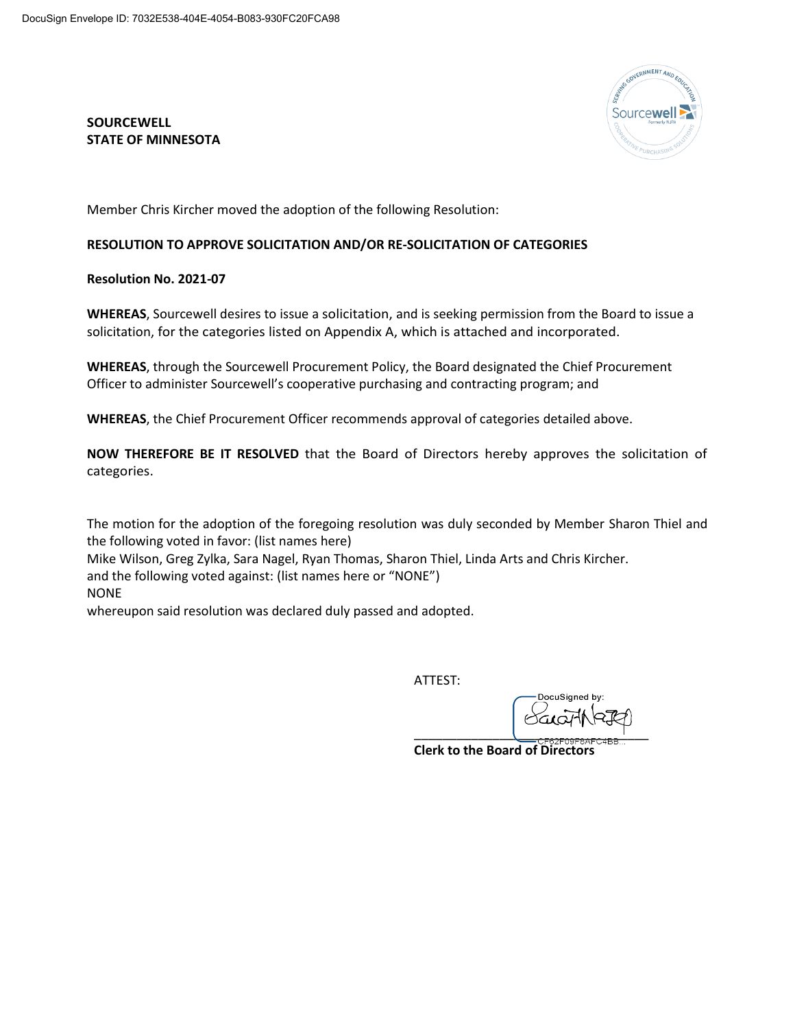## **SOURCEWELL STATE OF MINNESOTA**



Member Chris Kircher moved the adoption of the following Resolution:

## **RESOLUTION TO APPROVE SOLICITATION AND/OR RE-SOLICITATION OF CATEGORIES**

**Resolution No. 2021-07**

**WHEREAS**, Sourcewell desires to issue a solicitation, and is seeking permission from the Board to issue a solicitation, for the categories listed on Appendix A, which is attached and incorporated.

**WHEREAS**, through the Sourcewell Procurement Policy, the Board designated the Chief Procurement Officer to administer Sourcewell's cooperative purchasing and contracting program; and

**WHEREAS**, the Chief Procurement Officer recommends approval of categories detailed above.

**NOW THEREFORE BE IT RESOLVED** that the Board of Directors hereby approves the solicitation of categories.

The motion for the adoption of the foregoing resolution was duly seconded by Member Sharon Thiel and the following voted in favor: (list names here) Mike Wilson, Greg Zylka, Sara Nagel, Ryan Thomas, Sharon Thiel, Linda Arts and Chris Kircher. and the following voted against: (list names here or "NONE") NONE whereupon said resolution was declared duly passed and adopted.

ATTEST:

**DocuSianed by** \_\_\_\_\_\_\_\_\_\_\_\_\_\_\_\_\_\_\_\_\_\_\_\_\_\_\_\_\_\_\_\_\_

**Clerk to the Board of Directors**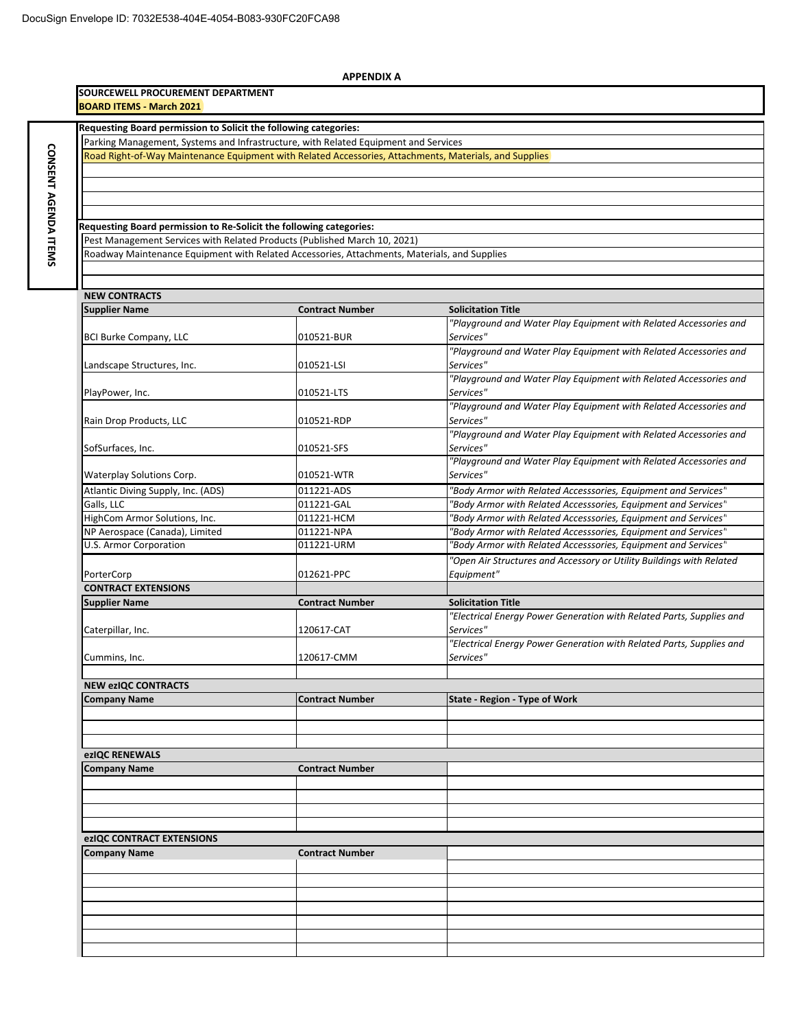**CONSENT**

**AGENDA CONSENT AGENDA ITEMS** 

| <b>APPENDIX A</b>                                                                                                                                |                        |                                                                                |  |  |  |
|--------------------------------------------------------------------------------------------------------------------------------------------------|------------------------|--------------------------------------------------------------------------------|--|--|--|
| SOURCEWELL PROCUREMENT DEPARTMENT<br><b>BOARD ITEMS - March 2021</b>                                                                             |                        |                                                                                |  |  |  |
| Requesting Board permission to Solicit the following categories:                                                                                 |                        |                                                                                |  |  |  |
| Parking Management, Systems and Infrastructure, with Related Equipment and Services                                                              |                        |                                                                                |  |  |  |
| Road Right-of-Way Maintenance Equipment with Related Accessories, Attachments, Materials, and Supplies                                           |                        |                                                                                |  |  |  |
|                                                                                                                                                  |                        |                                                                                |  |  |  |
|                                                                                                                                                  |                        |                                                                                |  |  |  |
|                                                                                                                                                  |                        |                                                                                |  |  |  |
|                                                                                                                                                  |                        |                                                                                |  |  |  |
| Requesting Board permission to Re-Solicit the following categories:<br>Pest Management Services with Related Products (Published March 10, 2021) |                        |                                                                                |  |  |  |
| Roadway Maintenance Equipment with Related Accessories, Attachments, Materials, and Supplies                                                     |                        |                                                                                |  |  |  |
|                                                                                                                                                  |                        |                                                                                |  |  |  |
|                                                                                                                                                  |                        |                                                                                |  |  |  |
| <b>NEW CONTRACTS</b>                                                                                                                             |                        |                                                                                |  |  |  |
| <b>Supplier Name</b>                                                                                                                             | <b>Contract Number</b> | <b>Solicitation Title</b>                                                      |  |  |  |
|                                                                                                                                                  |                        | "Playground and Water Play Equipment with Related Accessories and              |  |  |  |
| <b>BCI Burke Company, LLC</b>                                                                                                                    | 010521-BUR             | Services"<br>"Playground and Water Play Equipment with Related Accessories and |  |  |  |
| Landscape Structures, Inc.                                                                                                                       | 010521-LSI             | Services"                                                                      |  |  |  |
|                                                                                                                                                  |                        | "Playground and Water Play Equipment with Related Accessories and              |  |  |  |
| PlayPower, Inc.                                                                                                                                  | 010521-LTS             | Services"                                                                      |  |  |  |
|                                                                                                                                                  |                        | "Playground and Water Play Equipment with Related Accessories and              |  |  |  |
| Rain Drop Products, LLC                                                                                                                          | 010521-RDP             | Services"                                                                      |  |  |  |
|                                                                                                                                                  |                        | "Playground and Water Play Equipment with Related Accessories and              |  |  |  |
| SofSurfaces, Inc.                                                                                                                                | 010521-SFS             | Services"<br>"Playground and Water Play Equipment with Related Accessories and |  |  |  |
| Waterplay Solutions Corp.                                                                                                                        | 010521-WTR             | Services"                                                                      |  |  |  |
| Atlantic Diving Supply, Inc. (ADS)                                                                                                               | 011221-ADS             | "Body Armor with Related Accesssories, Equipment and Services"                 |  |  |  |
| Galls, LLC                                                                                                                                       | 011221-GAL             | "Body Armor with Related Accesssories, Equipment and Services"                 |  |  |  |
| HighCom Armor Solutions, Inc.                                                                                                                    | 011221-HCM             | "Body Armor with Related Accesssories, Equipment and Services"                 |  |  |  |
| NP Aerospace (Canada), Limited                                                                                                                   | 011221-NPA             | "Body Armor with Related Accesssories, Equipment and Services"                 |  |  |  |
| U.S. Armor Corporation                                                                                                                           | 011221-URM             | "Body Armor with Related Accesssories, Equipment and Services"                 |  |  |  |
|                                                                                                                                                  |                        | "Open Air Structures and Accessory or Utility Buildings with Related           |  |  |  |
| PorterCorp<br><b>CONTRACT EXTENSIONS</b>                                                                                                         | 012621-PPC             | Equipment"                                                                     |  |  |  |
| <b>Supplier Name</b>                                                                                                                             | <b>Contract Number</b> | <b>Solicitation Title</b>                                                      |  |  |  |
|                                                                                                                                                  |                        | "Electrical Energy Power Generation with Related Parts, Supplies and           |  |  |  |
| Caterpillar, Inc.                                                                                                                                | 120617-CAT             | Services"                                                                      |  |  |  |
|                                                                                                                                                  |                        | "Electrical Energy Power Generation with Related Parts, Supplies and           |  |  |  |
| Cummins, Inc.                                                                                                                                    | 120617-CMM             | Services"                                                                      |  |  |  |
|                                                                                                                                                  |                        |                                                                                |  |  |  |
| <b>NEW ezIQC CONTRACTS</b><br><b>Company Name</b>                                                                                                | <b>Contract Number</b> | <b>State - Region - Type of Work</b>                                           |  |  |  |
|                                                                                                                                                  |                        |                                                                                |  |  |  |
|                                                                                                                                                  |                        |                                                                                |  |  |  |
|                                                                                                                                                  |                        |                                                                                |  |  |  |
| ezIQC RENEWALS                                                                                                                                   |                        |                                                                                |  |  |  |
| <b>Company Name</b>                                                                                                                              | <b>Contract Number</b> |                                                                                |  |  |  |
|                                                                                                                                                  |                        |                                                                                |  |  |  |
|                                                                                                                                                  |                        |                                                                                |  |  |  |
|                                                                                                                                                  |                        |                                                                                |  |  |  |
| ezIQC CONTRACT EXTENSIONS                                                                                                                        |                        |                                                                                |  |  |  |
| <b>Company Name</b>                                                                                                                              | <b>Contract Number</b> |                                                                                |  |  |  |
|                                                                                                                                                  |                        |                                                                                |  |  |  |
|                                                                                                                                                  |                        |                                                                                |  |  |  |
|                                                                                                                                                  |                        |                                                                                |  |  |  |
|                                                                                                                                                  |                        |                                                                                |  |  |  |
|                                                                                                                                                  |                        |                                                                                |  |  |  |
|                                                                                                                                                  |                        |                                                                                |  |  |  |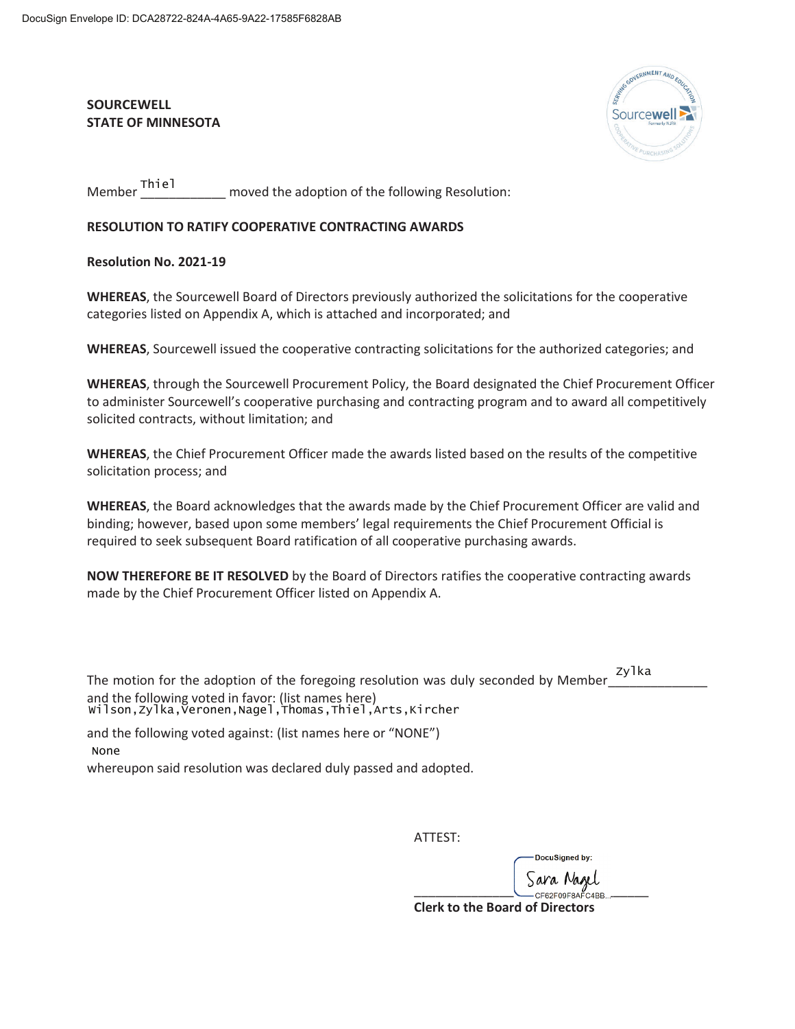## **SOURCEWELL STATE OF MINNESOTA**



moved the adoption of the following Resolution: Member Thiel

## **RESOLUTION TO RATIFY COOPERATIVE CONTRACTING AWARDS**

**Resolution No. 2021-19** 

**WHEREAS**, the Sourcewell Board of Directors previously authorized the solicitations for the cooperative categories listed on Appendix A, which is attached and incorporated; and

**WHEREAS**, Sourcewell issued the cooperative contracting solicitations for the authorized categories; and

 **WHEREAS**, through the Sourcewell Procurement Policy, the Board designated the Chief Procurement Officer to administer Sourcewell's cooperative purchasing and contracting program and to award all competitively solicited contracts, without limitation; and

**WHEREAS**, the Chief Procurement Officer made the awards listed based on the results of the competitive solicitation process; and

**WHEREAS**, the Board acknowledges that the awards made by the Chief Procurement Officer are valid and binding; however, based upon some members' legal requirements the Chief Procurement Official is required to seek subsequent Board ratification of all cooperative purchasing awards.

**NOW THEREFORE BE IT RESOLVED** by the Board of Directors ratifies the cooperative contracting awards made by the Chief Procurement Officer listed on Appendix A.

| The motion for the adoption of the foregoing resolution was duly seconded by Member                                | zvlka |
|--------------------------------------------------------------------------------------------------------------------|-------|
| and the following voted in favor: (list names here)<br>wilson, Zylka, Veronen, Nagel, Thomas, Thiel, Arts, Kircher |       |

and the following voted against: (list names here or "NONE") None

whereupon said resolution was declared duly passed and adopted.

ATTEST:

DocuSianed by:

 $\begin{array}{ccc} 0 & 0 & 0 \\ \hline \end{array}$  CF62F09F8AFC4BB **Clerk to the Board of Directors**